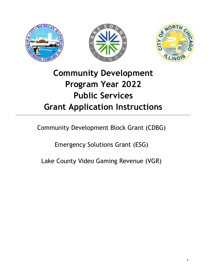





# Community Development Program Year 2022 Public Services Grant Application Instructions

Community Development Block Grant (CDBG)

Emergency Solutions Grant (ESG)

Lake County Video Gaming Revenue (VGR)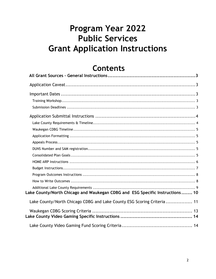# Program Year 2022 **Public Services Grant Application Instructions**

# **Contents**

| Lake County/North Chicago and Waukegan CDBG and ESG Specific Instructions 10 |  |
|------------------------------------------------------------------------------|--|
| Lake County/North Chicago CDBG and Lake County ESG Scoring Criteria 11       |  |
|                                                                              |  |
|                                                                              |  |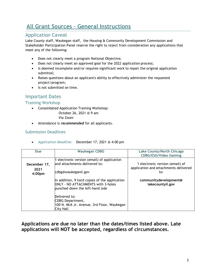# All Grant Sources – General Instructions

## Application Caveat

Lake County staff, Waukegan staff, the Housing & Community Development Commission and Stakeholder Participation Panel reserve the right to reject from consideration any applications that meet any of the following:

- Does not clearly meet a program National Objective;
- Does not clearly meet an approved goal for the 2022 application process;
- Is deemed incomplete and/or requires significant work to repair the original application submittal;
- Raises questions about an applicant's ability to effectively administer the requested project/program;
- Is not submitted on time.

## Important Dates

Training Workshop

Consolidated Application Training Workshop:

October 26, 2021 @ 9 am Via Zoom

• Attendance is *recommended* for all applicants.

## Submission Deadlines

Application Deadline: December 17, 2021 @ 4:00 pm

| <b>Due</b>                                 | <b>Waukegan CDBG</b>                                                                                                          | Lake County/North Chicago<br><b>CDBG/ESG/Video Gaming</b>                       |
|--------------------------------------------|-------------------------------------------------------------------------------------------------------------------------------|---------------------------------------------------------------------------------|
| December 17,<br>2021<br>4:00 <sub>pm</sub> | 1 electronic version (email) of application<br>land attachments delivered to:<br>cdbg@waukeganil.gov                          | 1 electronic version (email) of<br>application and attachments delivered<br>to: |
|                                            | In addition, 9 hard copies of the application<br><b>ONLY - NO ATTACHMENTS with 3-holes</b><br>bunched down the left-hand side | communitydevelopment@<br>lakecountyil.gov                                       |
|                                            | Delivered to:<br>CDBG Department,<br>100 N. MLK Jr. Avenue, 3rd Floor, Waukegan<br>City Hall                                  |                                                                                 |

## Applications are due no later than the dates/times listed above. Late applications will NOT be accepted, regardless of circumstances.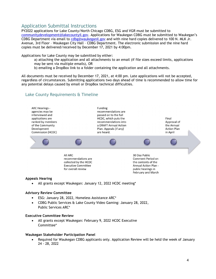## Application Submittal Instructions

PY2022 applications for Lake County/North Chicago CDBG, ESG and VGR must be submitted to communitydevelopment@lakecountyil.gov. Applications for Waukegan CDBG must be submitted to Waukegan's CDBG Department via email to cdbg@waukeganil.gov and with nine hard copies delivered to 100 N. MLK Jr. Avenue, 3rd Floor – Waukegan City Hall – CDBG Department. The electronic submission and the nine hard copies must be delivered/received by December 17, 2021 by 4:00pm.

Applications for Lake County may be submitted by either:

- a) attaching the application and all attachments to an email (if file sizes exceed limits, applications may be sent via multiple emails), OR
- b) emailing a DropBox link to a folder containing the application and all attachments.

All documents must be received by December 17, 2021, at 4:00 pm. Late applications will not be accepted, regardless of circumstances. Submitting applications two days ahead of time is recommended to allow time for any potential delays caused by email or DropBox technical difficulties.

## Lake County Requirements & Timeline



#### Appeals Hearing

All grants except Waukegan: January 12, 2022 HCDC meeting\*

#### Advisory Review Committee

- ESG: January 28, 2022, Homeless Assistance ARC\*
- CDBG Public Services & Lake County Video Gaming: January 28, 2022, Public Services ARC\*

#### Executive Committee Review

 All grants except Waukegan: February 9, 2022 HCDC Executive Committee\*

#### Waukegan Stakeholder Participation Panel

 Required for Waukegan CDBG applicants only. Application Review will be held the week of January 24 - 28, 2022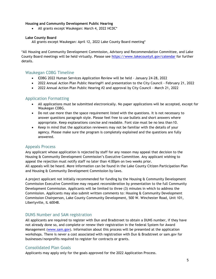## Housing and Community Development Public Hearing

All grants except Waukegan: March 4, 2022 HCDC\*

#### Lake County Board

All grants except Waukegan: April 12, 2022 Lake County Board meeting\*

\*All Housing and Community Development Commission, Advisory and Recommendation Committee, and Lake County Board meetings will be held virtually. Please see https://www.lakecountyil.gov/calendar for further details.

## Waukegan CDBG Timeline

- CDBG 2022 Human Services Application Review will be held January 24-28, 2022
- 2022 Annual Action Plan Public Hearing#1 and presentation to the City Council February 21, 2022
- 2022 Annual Action Plan Public Hearing #2 and approval by City Council March 21, 2022

## Application Formatting

- All applications must be submitted electronically. No paper applications will be accepted, except for Waukegan CDBG.
- Do not use more than the space requirement listed with the questions. It is not necessary to answer questions paragraph style. Please feel free to use bullets and short answers where appropriate. Keep explanations concise and readable. Font size must be no less than 10.
- Keep in mind that the application reviewers may not be familiar with the details of your agency. Please make sure the program is completely explained and the questions are fully answered.

## Appeals Process

Any applicant whose application is rejected by staff for any reason may appeal that decision to the Housing & Community Development Commission's Executive Committee. Any applicant wishing to appeal the rejection must notify staff no later than 4:00pm on two weeks prior. All appeals will be heard. More information can be found in the Lake County Citizen Participation Plan and Housing & Community Development Commission by-laws.

A project applicant not initially recommended for funding by the Housing & Community Development Commission Executive Committee may request reconsideration by presentation to the full Community Development Commission. Applicants will be limited to three (3) minutes in which to address the Commission. Applicants may also submit written comments to: Housing & Community Development Commission Chairperson, Lake County Community Development, 500 W. Winchester Road, Unit 101, Libertyville, IL 60048.

## DUNS Number and SAM registration

All applicants are required to register with Dun and Bradstreet to obtain a DUNS number, if they have not already done so, and complete or renew their registration in the federal System for Award Management (www.sam.gov). Information about this process will be presented at the application workshops. There is never a cost associated with registration with Dun & Bradstreet or sam.gov for businesses/nonprofits required to register for contracts or grants.

## Consolidated Plan Goals

Applicants may apply only for the goals approved for the 2022 Application Process.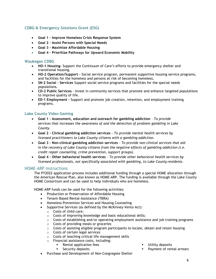## CDBG & Emergency Solutions Grant (ESG)

- Goal 1 Improve Homeless Crisis Response System
- Goal 2 Assist Persons with Special Needs
- Goal 3 Maximize Affordable Housing
- Goal 4 Prioritize Pathways for Upward Economic Mobility

## Waukegan CDBG

- HO-1 Housing- Support the Continuum of Care's efforts to provide emergency shelter and transitional housing.
- HO-2 Operation/Support Social service program, permanent supportive housing service programs, and facilities for the homeless and persons at risk of becoming homeless.
- SN-2 Social Services Support social service programs and facilities for the special needs populations.
- CD-2 Public Services Invest in community services that promote and enhance targeted populations to improve quality of life.
- ED-1 Employment Support and promote job creation, retention, and employment training programs.

## Lake County Video Gaming

- Goal 1 Assessment, education and outreach for gambling addiction To provide services that increases the awareness of and the detection of problem gambling in Lake County.
- Goal 2 Clinical gambling addiction services To provide mental health services by licensed practitioners to Lake County citizens with a gambling addiction.
- Goal 3 Non-clinical gambling addiction services To provide non-clinical services that aid in the recovery of Lake County citizens from the negative effects of gambling addiction (i.e. credit repair counseling, crime prevention, support groups).
- Goal 4 Other behavioral health services To provide other behavioral health services by licensed professionals, not specifically associated with gambling, to Lake County residents.

## HOME-ARP Instructions

The PY2022 application process includes additional funding through a special HOME allocation through the American Rescue Plan, also known as HOME-ARP. The funding is available through the Lake County HOME Consortium and can be used to help individuals who are homeless.

HOME-ARP funds can be used for the following activities:

- Production or Preservation of Affordable Housing
- Tenant-Based Rental Assistance (TBRA)
- Homeless Prevention Services and Housing Counseling
- Supportive Services (as defined by the McKinney-Vento Act):
	- o Costs of child care;
	- o Costs of improving knowledge and basic educational skills;
	- o Costs of establishing and/or operating employment assistance and job training programs
	- o Costs of providing meals or groceries
	- $\circ$  Costs of assisting eligible program participants to locate, obtain and retain housing
	- o Costs of certain legal services
	- o Costs of teaching critical life management skills
	- o Financial assistance costs, including:
		- Rental application fees
		- **Security deposits**
- **Utility deposits**
- Payment of rental arrears
- Purchase and Development of Non-Congregate Shelter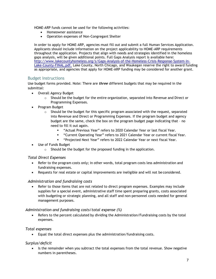HOME-ARP funds cannot be used for the following activities:

- Homeowner assistance
- Operation expenses of Non-Congregant Shelter

In order to apply for HOME-ARP, agencies must fill out and submit a full Human Services Application. Applicants should include information on the project applicability to HOME-ARP requirements throughout the application. Projects that align with needs and strategies identified in the homeless gaps analysis, will be given additional points. Full Gaps Analysis report is available here: http://www.lakecountyhomeless.org/s/Gaps-Analysis-of-the-Homeless-Crisis-Response-System-in-Lake-County-FINAL.pdf. Lake County, North Chicago, and Waukegan reserve the right to award funding as appropriate, and agencies that apply for HOME-ARP funding may be considered for another grant.

## Budget Instructions

Use budget forms provided. Note: There are *three* different budgets that may be required in the submittal:

- Overall Agency Budget
	- $\circ$  Should be the budget for the entire organization, separated into Revenue and Direct or Programming Expenses.
- Program Budget
	- $\circ$  Should be the budget for this specific program associated with the request, separated into Revenue and Direct or Programming Expenses. If the program budget and agency budget are the same, check the box on the program budget page indicating that – no need to fill it out again.
		- "Actual Previous Year" refers to 2020 Calendar Year or last fiscal Year.
		- "Current Operating Year" refers to 2021 Calendar Year or current fiscal Year.
		- "Projected Next Year" refers to 2022 Calendar Year or next fiscal Year.
- Use of Funds Budget
	- o Should be the budget for the proposed funding in the application.

## Total Direct Expenses

- Refer to the program costs only; in other words, total program costs less administration and fundraising expenses.
- Requests for real estate or capital improvements are ineligible and will not be considered.

## Administration and fundraising costs

 Refer to those items that are not related to direct program expenses. Examples may include supplies for a special event, administrative staff time spent preparing grants, costs associated with budgeting or strategic planning, and all staff and non-personnel costs needed for general management purposes.

## Administration and fundraising costs/total expense (%)

 Refers to the percent calculated by dividing the Administration/Fundraising costs by the total expenses.

## Total expenses

Equal the total direct expenses plus the administration/fundraising costs.

## Surplus/deficit

 Is the remainder when you subtract the total expenses from the total revenue. Show negative numbers in parentheses.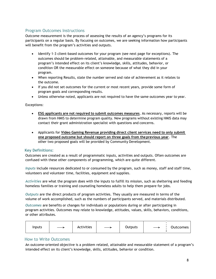## Program Outcomes Instructions

Outcome measurement is the process of assessing the results of an agency's programs for its participants on a regular basis. By focusing on outcomes, we are seeking information how participants will benefit from the program's activities and outputs.

- Identify 1-3 client-based outcomes for your program (see next page for exceptions). The outcomes should be problem-related, attainable, and measurable statements of a program's intended effect on its client's knowledge, skills, attitudes, behavior, or condition OR the measurable effect on someone because of what they did in your program.
- When reporting Results, state the number served and rate of achievement as it relates to the outcome.
- If you did not set outcomes for the current or most recent years, provide some form of program goals and corresponding results.
- Unless otherwise noted, applicants are not required to have the same outcomes year to year.

## Exceptions:

- ESG applicants are not required to submit outcomes measures. As necessary, reports will be drawn from HMIS to determine program quality. New programs without existing HMIS data may contact their grant administration specialist with questions and concerns.
- Applicants for Video Gaming Revenue providing direct client services need to only submit one proposed outcome but should report on three goals from the previous year. The other two proposed goals will be provided by Community Development.

## Key Definitions:

Outcomes are created as a result of programmatic inputs, activities and outputs. Often outcomes are confused with these other components of programming, which are quite different.

Inputs include resources dedicated to or consumed by the program, such as money, staff and staff time, volunteers and volunteer time, facilities, equipment and supplies.

Activities are what the program does with the inputs to fulfill its mission, such as sheltering and feeding homeless families or training and counseling homeless adults to help them prepare for jobs.

Outputs are the direct products of program activities. They usually are measured in terms of the volume of work accomplished, such as the numbers of participants served, and materials distributed.

Outcomes are benefits or changes for individuals or populations during or after participating in program activities. Outcomes may relate to knowledge, attitudes, values, skills, behaviors, conditions, or other attributes.

| Inputs |  | Activities |  | Outputs |  | Outcomes |
|--------|--|------------|--|---------|--|----------|
|--------|--|------------|--|---------|--|----------|

## How to Write Outcomes

An outcome-oriented objective is a problem related, attainable and measurable statement of a program's intended effect on its client's knowledge, skills, attitudes, behavior or condition.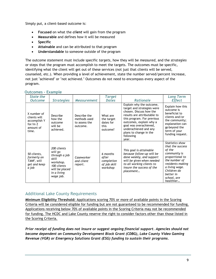Simply put, a client-based outcome is:

- Focused on what the client will gain from the program
- Measurable and defines how it will be measured
- Specific
- Attainable and can be attributed to that program
- Understandable to someone outside of the program

The outcome statement must include specific targets, how they will be measured, and the strategies or steps that the program must accomplish to meet the targets. The outcomes must be specific, identifying what the client will get out of these services (not just that clients will be served, counseled, etc.). When providing a level of achievement, state the number served/percent increase, not just "achieved" or "not achieved." Outcomes do not need to encompass every aspect of the program.

| State the<br><b>Outcome</b>                                                     | <b>Strategies</b>                                                                                                          | <b>Measurement</b>                                        | <b>Target</b><br><b>Dates</b>                               | <b>Rationale</b>                                                                                                                                                                                                                                                             | Long Term<br><b>Effect</b>                                                                                                                                                                      |
|---------------------------------------------------------------------------------|----------------------------------------------------------------------------------------------------------------------------|-----------------------------------------------------------|-------------------------------------------------------------|------------------------------------------------------------------------------------------------------------------------------------------------------------------------------------------------------------------------------------------------------------------------------|-------------------------------------------------------------------------------------------------------------------------------------------------------------------------------------------------|
| X number of<br>clients will<br>accomplish Y<br>for/in $Z$<br>amount of<br>time. | Describe<br>how the<br>outcome<br>will be<br>achieved.                                                                     | Describe the<br>methods used<br>to assess the<br>outcome. | What are<br>the target<br>dates for<br>this<br>outcome?     | Explain why the outcome,<br>target and strategies were<br>chosen. Discuss how the<br>results are attributable to<br>this program. For previous<br>outcomes, explain why a<br>goal was overachieved,<br>underachieved and any<br>plans to change in the<br>following<br>year. | Explain how this<br>outcome is<br>beneficial to<br>clients and/or<br>the community;<br>explanation can<br>go beyond the<br>term of your<br>funding request.                                     |
| 50 clients,<br>formerly on<br>TANF, will<br>get and keep<br>a job               | 200 clients<br>will go<br>through a job<br>skill<br>workshop.<br>100 clients<br>will be placed<br>in a living<br>wage job. | Caseworker<br>and client<br>report.                       | 6 months<br>after<br>completion<br>of job skill<br>workshop | This goal is attainable<br>because follow-up will be<br>done weekly, and support<br>will be given when needed<br>to all working clients to<br>insure the success of the<br>placement                                                                                         | Statistics show<br>that the success<br>of the<br>community is<br>proportional to<br>the number of<br>residents making<br>a living wage.<br>Children do<br>better in<br>school, are<br>healthier |

## Outcomes - Example

## Additional Lake County Requirements

Minimum Eligibility Threshold: Applications scoring 70% or more of available points in the Scoring Criteria will be considered eligible for funding but are not guaranteed to be recommended for funding. Applications receiving below 70% of available points in the Scoring Criteria may not be recommended for funding. The HCDC and Lake County reserve the right to consider factors other than those listed in the Scoring Criteria.

Prior receipt of funding does not insure or suggest ongoing financial support. Agencies should not become dependent on Community Development Block Grant (CDBG), Lake County Video Gaming Revenue (VGR) or Emergency Solutions Grant (ESG) funding to sustain their programs.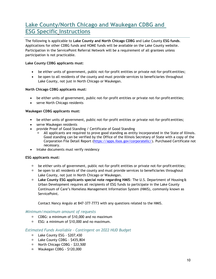## Lake County/North Chicago and Waukegan CDBG and ESG Specific Instructions

The following is applicable to Lake County and North Chicago CDBG and Lake County ESG funds. Applications for other CDBG funds and HOME funds will be available on the Lake County website. Participation in the ServicePoint Referral Network will be a requirement of all grantees unless participation is not practicable.

## Lake County CDBG applicants must:

- be either units of government, public not-for-profit entities or private not-for-profit entities;
- be open to all residents of the county and must provide services to beneficiaries throughout Lake County, not just in North Chicago or Waukegan.

## North Chicago CDBG applicants must:

- be either units of government, public not-for-profit entities or private not-for-profit entities;
- serve North Chicago residents

## Waukegan CDBG applicants must:

- be either units of government, public not-for-profit entities or private not-for-profit entities;
- serve Waukegan residents
- provide Proof of Good Standing / Certificate of Good Standing
	- All applicants are required to prove good standing as entity incorporated in the State of Illinois. Good standing can be verified by the Office of the Illinois Secretary of State with a copy of the Corporation File Detail Report (https://apps.ilsos.gov/corporatellc/). Purchased Certificate not necessary.
- Intake documents must verify residency

## ESG applicants must:

- be either units of government, public not-for-profit entities or private not-for-profit entities;
- $\Box$  be open to all residents of the county and must provide services to beneficiaries throughout Lake County, not just in North Chicago or Waukegan.
- $\Box$  Lake County ESG applicants special note regarding HMIS: The U.S. Department of Housing & Urban Development requires all recipients of ESG funds to participate in the Lake County Continuum of Care's Homeless Management Information System (HMIS), commonly known as ServicePoint.

Contact Nancy Angulo at 847-377-7773 with any questions related to the HMIS.

## Minimum/maximum amount of requests

- CDBG: a minimum of \$10,000 and no maximum
- ESG: a minimum of \$10,000 and no maximum.

## Estimated Funds Available – Contingent on 2022 HUD Budget

- Lake County ESG \$207,430
- D Lake County CDBG \$435,804
- □ North Chicago CDBG \$33,500
- $\blacksquare$  Waukegan CDBG \$120,000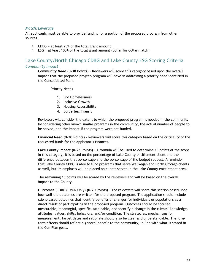## Match/Leverage

All applicants must be able to provide funding for a portion of the proposed program from other sources.

- $\Box$  CDBG = at least 25% of the total grant amount
- $\Box$  ESG = at least 100% of the total grant amount (dollar for dollar match)

## Lake County/North Chicago CDBG and Lake County ESG Scoring Criteria Community Impact

Community Need (0-30 Points) – Reviewers will score this category based upon the overall impact that the proposed project/program will have in addressing a priority need identified in the Consolidated Plan.

Priority Needs

- 1. End Homelessness
- 2. Inclusive Growth
- 3. Housing Accessibility
- 4. Borderless Transit

Reviewers will consider the extent to which the proposed program is needed in the community by considering other known similar programs in the community, the actual number of people to be served, and the impact if the program were not funded.

Financial Need (0-20 Points) - Reviewers will score this category based on the criticality of the requested funds for the applicant's finances.

Lake County Impact (0-25 Points) – A formula will be used to determine 10 points of the score in this category. It is based on the percentage of Lake County entitlement client and the difference between that percentage and the percentage of the budget request. A reminder that Lake County CDBG is able to fund programs that serve Waukegan and North Chicago clients as well, but its emphasis will be placed on clients served in the Lake County entitlement area.

The remaining 15 points will be scored by the reviewers and will be based on the overall impact to the County.

Outcomes (CDBG & VGR Only) (0-20 Points) – The reviewers will score this section based upon how well the outcomes are written for the proposed program. The application should include client-based outcomes that identify benefits or changes for individuals or populations as a direct result of participating in the proposed program. Outcomes should be focused, measurable, meaningful, specific, attainable, and identify a change in the clients' knowledge, attitudes, values, skills, behaviors, and/or condition. The strategies, mechanisms for measurement, target dates and rationale should also be clear and understandable. The longterm effects should reflect a general benefit to the community, in line with what is stated in the Con Plan goals.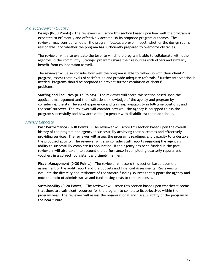## Project/Program Quality

Design (0-30 Points) – The reviewers will score this section based upon how well the program is expected to efficiently and effectively accomplish its proposed program outcomes. The reviewer may consider whether the program follows a proven model, whether the design seems reasonable, and whether the program has sufficiently prepared to overcome obstacles.

The reviewer will also evaluate the level to which the program is able to collaborate with other agencies in the community. Stronger programs share their resources with others and similarly benefit from collaboration as well.

The reviewer will also consider how well the program is able to follow-up with their clients' progress, assess their levels of satisfaction and provide adequate referrals if further intervention is needed. Programs should be prepared to prevent further escalation of clients' problems.

Staffing and Facilities (0-15 Points) – The reviewer will score this section based upon the applicant management and the institutional knowledge of the agency and program by considering: the staff levels of experience and training, availability in full-time positions; and the staff turnover. The reviewer will consider how well the agency is equipped to run the program successfully and how accessible (to people with disabilities) their location is.

#### Agency Capacity

Past Performance (0-30 Points) – The reviewer will score this section based upon the overall history of the program and agency in successfully achieving their outcomes and effectively providing services. The reviewer will assess the program's readiness and capacity to undertake the proposed activity. The reviewer will also consider staff reports regarding the agency's ability to successfully complete its application. If the agency has been funded in the past, reviewers will also take into account the performance in completing quarterly reports and vouchers in a correct, consistent and timely manner.

Fiscal Management (0-20 Points) – The reviewer will score this section based upon their assessment of the audit report and the Budgets and Financial Assessments. Reviewers will evaluate the diversity and resilience of the various funding sources that support the agency and note the ratio of administrative and fund-raising costs to total expenses.

Sustainability (0-20 Points) – The reviewer will score this section based upon whether it seems that there are sufficient resources for the program to complete its objectives within the program year. The reviewer will assess the organizational and fiscal viability of the program in the near future.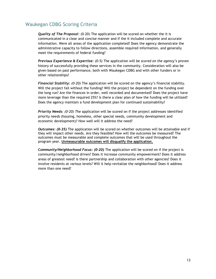## Waukegan CDBG Scoring Criteria

**Quality of The Proposal:** (0-20) The application will be scored on whether the it is communicated in a clear and concise manner and if the it included complete and accurate information. Were all areas of the application completed? Does the agency demonstrate the administrative capacity to follow directions, assemble required information, and generally meet the requirements of federal funding?

Previous Experience  $\hat{a}$  Expertise: (0-5) The application will be scored on the agency's proven history of successfully providing these services in the community. Consideration will also be given based on past performance, both with Waukegan CDBG and with other funders or in other relationships?

Financial Stability: (0-20) The application will be scored on the agency's financial stability. Will the project fail without the funding? Will the project be dependent on the funding over the long run? Are the finances in order, well recorded and documented? Does the project have more leverage than the required 25%? Is there a clear plan of how the funding will be utilized? Does the agency maintain a fund development plan for continued sustainability?

**Priority Needs:** (0-20) The application will be scored on if the project addresses identified priority needs (housing, homeless, other special needs, community development and economic development)? How well will it address the need?

**Outcomes: (0-35)** The application will be scored on whether outcomes will be attainable and if they will impact other needs. Are they feasible? How will the outcomes be measured? The outcomes must be measurable and complete outcomes that will be used throughout the program year. Unmeasurable outcomes will disqualify the application.

Community/Neighborhood Focus: (0-20) The application will be scored on if the project is community/neighborhood driven? Does it increase community empowerment? Does it address areas of greatest need? Is there partnership and collaboration with other agencies? Does it involve residents at various levels? Will it help revitalize the neighborhood? Does it address more than one need?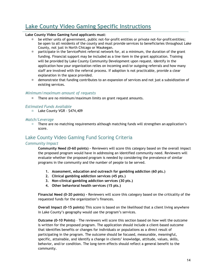## Lake County Video Gaming Specific Instructions

## Lake County Video Gaming fund applicants must:

- be either units of government, public not-for-profit entities or private not-for-profit entities; be open to all residents of the county and must provide services to beneficiaries throughout Lake County, not just in North Chicago or Waukegan.
- $\Box$  participate in the ServicePoint referral network for, at a minimum, the duration of the grant funding. Financial support may be included as a line item in the grant application. Training will be provided by Lake County Community Development upon request. Identify in the application how your organization relies on incoming and/or outgoing referrals and how many staff are involved with the referral process. If adoption is not practicable, provide a clear explanation in the space provided.
- demonstrate that funding contributes to an expansion of services and not just a subsidization of existing services.

## Minimum/maximum amount of requests

□ There are no minimum/maximum limits on grant request amounts.

## Estimated Funds Available

 $\Box$  Lake County VGR - \$474,409

## Match/Leverage

□ There are no matching requirements although matching funds will strengthen an application's score.

## Lake County Video Gaming Fund Scoring Criteria

## Community Impact

Community Need (0-60 points) – Reviewers will score this category based on the overall impact the proposed program would have in addressing an identified community need. Reviewers will evaluate whether the proposed program is needed by considering the prevalence of similar programs in the community and the number of people to be served.

- 1. Assessment, education and outreach for gambling addiction (60 pts.)
- 2. Clinical gambling addiction services (45 pts.)
- 3. Non-clinical gambling addiction services (30 pts.)
- 4. Other behavioral health services (15 pts.)

Financial Need (0–20 points) - Reviewers will score this category based on the criticality of the requested funds for the organization's finances.

Overall Impact (0-15 points) This score is based on the likelihood that a client living anywhere in Lake County's geography would use the program's services.

Outcome (0-10 Points) – The reviewers will score this section based on how well the outcome is written for the proposed program. The application should include a client-based outcome that identifies benefits or changes for individuals or populations as a direct result of participating in the program. The outcome should be focused, measurable, meaningful, specific, attainable, and identify a change in clients' knowledge, attitude, values, skills, behavior, and/or condition. The long-term effects should reflect a general benefit to the community.